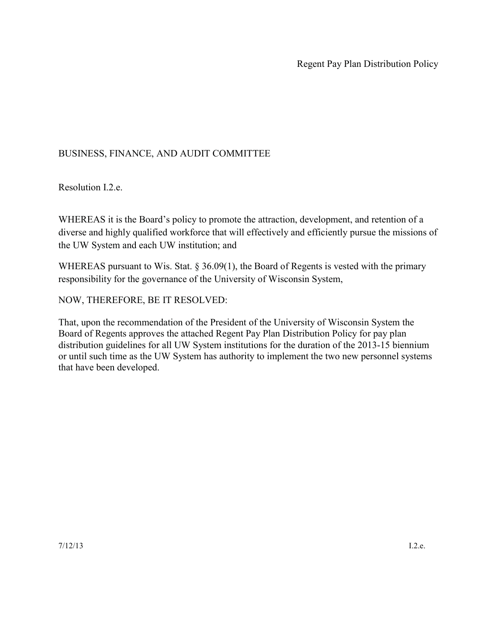## BUSINESS, FINANCE, AND AUDIT COMMITTEE

Resolution I.2.e.

WHEREAS it is the Board's policy to promote the attraction, development, and retention of a diverse and highly qualified workforce that will effectively and efficiently pursue the missions of the UW System and each UW institution; and

WHEREAS pursuant to Wis. Stat.  $\S 36.09(1)$ , the Board of Regents is vested with the primary responsibility for the governance of the University of Wisconsin System,

NOW, THEREFORE, BE IT RESOLVED:

That, upon the recommendation of the President of the University of Wisconsin System the Board of Regents approves the attached Regent Pay Plan Distribution Policy for pay plan distribution guidelines for all UW System institutions for the duration of the 2013-15 biennium or until such time as the UW System has authority to implement the two new personnel systems that have been developed.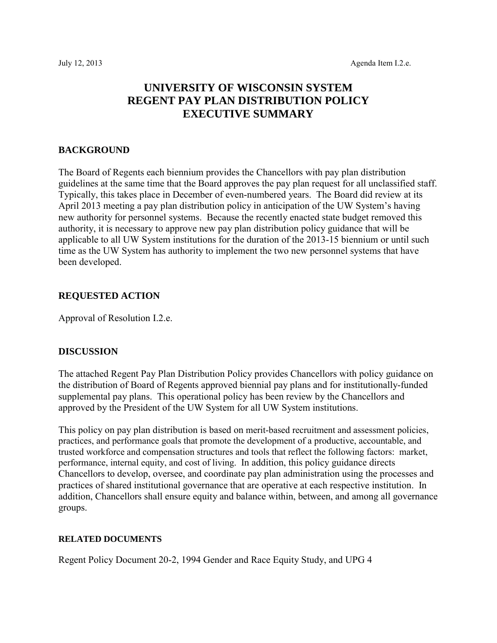# **UNIVERSITY OF WISCONSIN SYSTEM REGENT PAY PLAN DISTRIBUTION POLICY EXECUTIVE SUMMARY**

### **BACKGROUND**

The Board of Regents each biennium provides the Chancellors with pay plan distribution guidelines at the same time that the Board approves the pay plan request for all unclassified staff. Typically, this takes place in December of even-numbered years. The Board did review at its April 2013 meeting a pay plan distribution policy in anticipation of the UW System's having new authority for personnel systems. Because the recently enacted state budget removed this authority, it is necessary to approve new pay plan distribution policy guidance that will be applicable to all UW System institutions for the duration of the 2013-15 biennium or until such time as the UW System has authority to implement the two new personnel systems that have been developed.

### **REQUESTED ACTION**

Approval of Resolution I.2.e.

### **DISCUSSION**

The attached Regent Pay Plan Distribution Policy provides Chancellors with policy guidance on the distribution of Board of Regents approved biennial pay plans and for institutionally-funded supplemental pay plans. This operational policy has been review by the Chancellors and approved by the President of the UW System for all UW System institutions.

This policy on pay plan distribution is based on merit-based recruitment and assessment policies, practices, and performance goals that promote the development of a productive, accountable, and trusted workforce and compensation structures and tools that reflect the following factors: market, performance, internal equity, and cost of living. In addition, this policy guidance directs Chancellors to develop, oversee, and coordinate pay plan administration using the processes and practices of shared institutional governance that are operative at each respective institution. In addition, Chancellors shall ensure equity and balance within, between, and among all governance groups.

### **RELATED DOCUMENTS**

Regent Policy Document 20-2, 1994 Gender and Race Equity Study, and UPG 4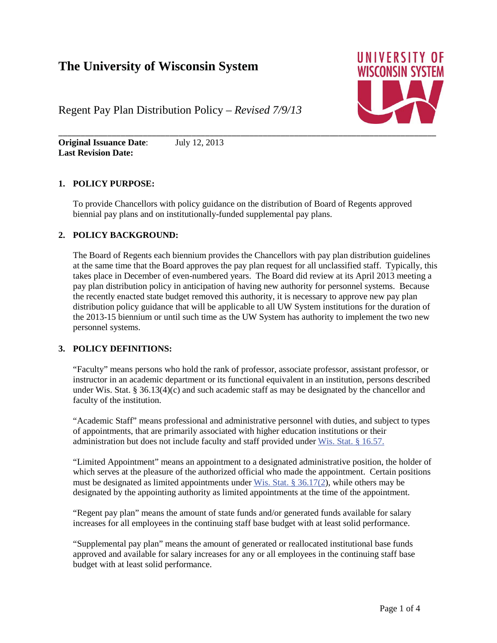# **The University of Wisconsin System**



Regent Pay Plan Distribution Policy – *Revised 7/9/13*

**Original Issuance Date**: July 12, 2013 **Last Revision Date:** 

### **1. POLICY PURPOSE:**

To provide Chancellors with policy guidance on the distribution of Board of Regents approved biennial pay plans and on institutionally-funded supplemental pay plans.

### **2. POLICY BACKGROUND:**

The Board of Regents each biennium provides the Chancellors with pay plan distribution guidelines at the same time that the Board approves the pay plan request for all unclassified staff. Typically, this takes place in December of even-numbered years. The Board did review at its April 2013 meeting a pay plan distribution policy in anticipation of having new authority for personnel systems. Because the recently enacted state budget removed this authority, it is necessary to approve new pay plan distribution policy guidance that will be applicable to all UW System institutions for the duration of the 2013-15 biennium or until such time as the UW System has authority to implement the two new personnel systems.

### **3. POLICY DEFINITIONS:**

"Faculty" means persons who hold the rank of professor, associate professor, assistant professor, or instructor in an academic department or its functional equivalent in an institution, persons described under Wis. Stat. § 36.13(4)(c) and such academic staff as may be designated by the chancellor and faculty of the institution.

"Academic Staff" means professional and administrative personnel with duties, and subject to types of appointments, that are primarily associated with higher education institutions or their administration but does not include faculty and staff provided under Wis. Stat. § 16.57.

"Limited Appointment" means an appointment to a designated administrative position, the holder of which serves at the pleasure of the authorized official who made the appointment. Certain positions must be designated as limited appointments under Wis. Stat. § 36.17(2), while others may be designated by the appointing authority as limited appointments at the time of the appointment.

"Regent pay plan" means the amount of state funds and/or generated funds available for salary increases for all employees in the continuing staff base budget with at least solid performance.

"Supplemental pay plan" means the amount of generated or reallocated institutional base funds approved and available for salary increases for any or all employees in the continuing staff base budget with at least solid performance.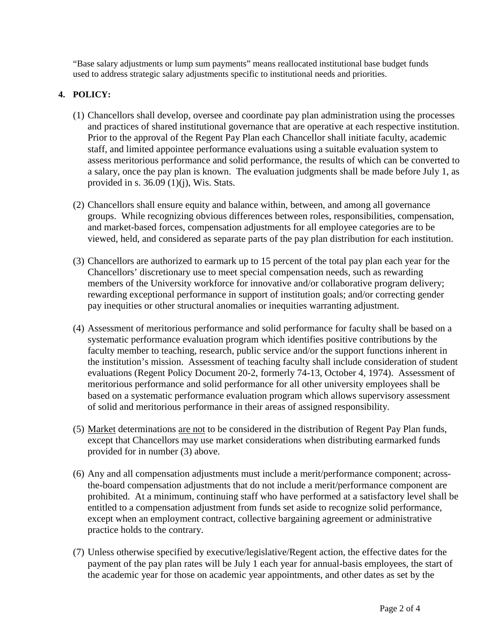"Base salary adjustments or lump sum payments" means reallocated institutional base budget funds used to address strategic salary adjustments specific to institutional needs and priorities.

## **4. POLICY:**

- (1) Chancellors shall develop, oversee and coordinate pay plan administration using the processes and practices of shared institutional governance that are operative at each respective institution. Prior to the approval of the Regent Pay Plan each Chancellor shall initiate faculty, academic staff, and limited appointee performance evaluations using a suitable evaluation system to assess meritorious performance and solid performance, the results of which can be converted to a salary, once the pay plan is known. The evaluation judgments shall be made before July 1, as provided in s.  $36.09$  (1)(j), Wis. Stats.
- (2) Chancellors shall ensure equity and balance within, between, and among all governance groups. While recognizing obvious differences between roles, responsibilities, compensation, and market-based forces, compensation adjustments for all employee categories are to be viewed, held, and considered as separate parts of the pay plan distribution for each institution.
- (3) Chancellors are authorized to earmark up to 15 percent of the total pay plan each year for the Chancellors' discretionary use to meet special compensation needs, such as rewarding members of the University workforce for innovative and/or collaborative program delivery; rewarding exceptional performance in support of institution goals; and/or correcting gender pay inequities or other structural anomalies or inequities warranting adjustment.
- (4) Assessment of meritorious performance and solid performance for faculty shall be based on a systematic performance evaluation program which identifies positive contributions by the faculty member to teaching, research, public service and/or the support functions inherent in the institution's mission. Assessment of teaching faculty shall include consideration of student evaluations (Regent Policy Document 20-2, formerly 74-13, October 4, 1974). Assessment of meritorious performance and solid performance for all other university employees shall be based on a systematic performance evaluation program which allows supervisory assessment of solid and meritorious performance in their areas of assigned responsibility.
- (5) Market determinations are not to be considered in the distribution of Regent Pay Plan funds, except that Chancellors may use market considerations when distributing earmarked funds provided for in number (3) above.
- (6) Any and all compensation adjustments must include a merit/performance component; acrossthe-board compensation adjustments that do not include a merit/performance component are prohibited. At a minimum, continuing staff who have performed at a satisfactory level shall be entitled to a compensation adjustment from funds set aside to recognize solid performance, except when an employment contract, collective bargaining agreement or administrative practice holds to the contrary.
- (7) Unless otherwise specified by executive/legislative/Regent action, the effective dates for the payment of the pay plan rates will be July 1 each year for annual-basis employees, the start of the academic year for those on academic year appointments, and other dates as set by the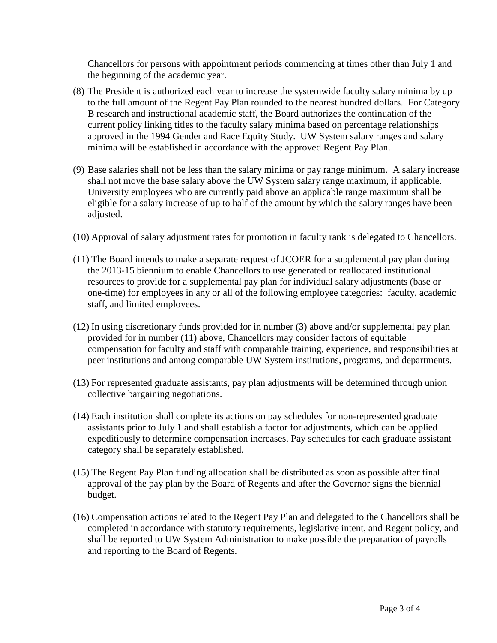Chancellors for persons with appointment periods commencing at times other than July 1 and the beginning of the academic year.

- (8) The President is authorized each year to increase the systemwide faculty salary minima by up to the full amount of the Regent Pay Plan rounded to the nearest hundred dollars. For Category B research and instructional academic staff, the Board authorizes the continuation of the current policy linking titles to the faculty salary minima based on percentage relationships approved in the 1994 Gender and Race Equity Study. UW System salary ranges and salary minima will be established in accordance with the approved Regent Pay Plan.
- (9) Base salaries shall not be less than the salary minima or pay range minimum. A salary increase shall not move the base salary above the UW System salary range maximum, if applicable. University employees who are currently paid above an applicable range maximum shall be eligible for a salary increase of up to half of the amount by which the salary ranges have been adjusted.
- (10) Approval of salary adjustment rates for promotion in faculty rank is delegated to Chancellors.
- (11) The Board intends to make a separate request of JCOER for a supplemental pay plan during the 2013-15 biennium to enable Chancellors to use generated or reallocated institutional resources to provide for a supplemental pay plan for individual salary adjustments (base or one-time) for employees in any or all of the following employee categories: faculty, academic staff, and limited employees.
- (12) In using discretionary funds provided for in number (3) above and/or supplemental pay plan provided for in number (11) above, Chancellors may consider factors of equitable compensation for faculty and staff with comparable training, experience, and responsibilities at peer institutions and among comparable UW System institutions, programs, and departments.
- (13) For represented graduate assistants, pay plan adjustments will be determined through union collective bargaining negotiations.
- (14) Each institution shall complete its actions on pay schedules for non-represented graduate assistants prior to July 1 and shall establish a factor for adjustments, which can be applied expeditiously to determine compensation increases. Pay schedules for each graduate assistant category shall be separately established.
- (15) The Regent Pay Plan funding allocation shall be distributed as soon as possible after final approval of the pay plan by the Board of Regents and after the Governor signs the biennial budget.
- (16) Compensation actions related to the Regent Pay Plan and delegated to the Chancellors shall be completed in accordance with statutory requirements, legislative intent, and Regent policy, and shall be reported to UW System Administration to make possible the preparation of payrolls and reporting to the Board of Regents.